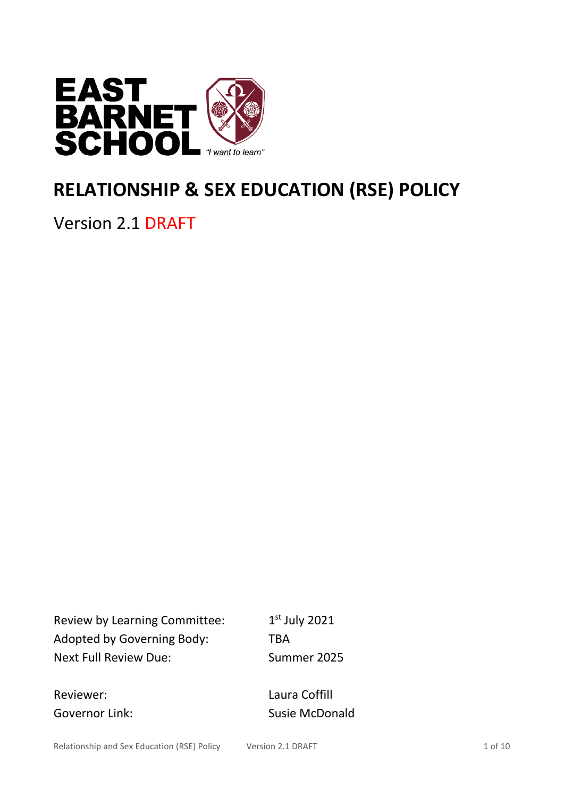

# **RELATIONSHIP & SEX EDUCATION (RSE) POLICY**

Version 2.1 DRAFT

Review by Learning Committee: 1 Adopted by Governing Body: TBA Next Full Review Due: Summer 2025

 $1<sup>st</sup>$  July 2021

Reviewer: Laura Coffill

Governor Link: Susie McDonald

Relationship and Sex Education (RSE) Policy Version 2.1 DRAFT 1 of 10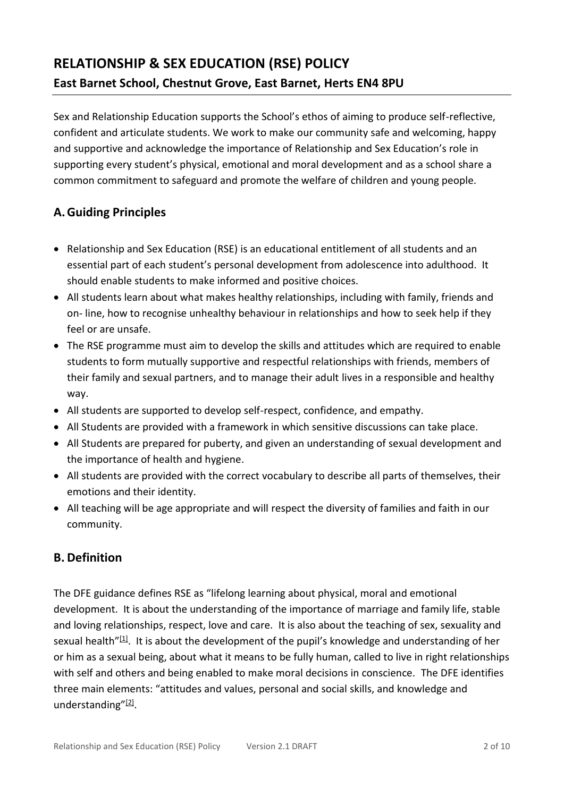Sex and Relationship Education supports the School's ethos of aiming to produce self-reflective, confident and articulate students. We work to make our community safe and welcoming, happy and supportive and acknowledge the importance of Relationship and Sex Education's role in supporting every student's physical, emotional and moral development and as a school share a common commitment to safeguard and promote the welfare of children and young people.

# **A.Guiding Principles**

- Relationship and Sex Education (RSE) is an educational entitlement of all students and an essential part of each student's personal development from adolescence into adulthood. It should enable students to make informed and positive choices.
- All students learn about what makes healthy relationships, including with family, friends and on- line, how to recognise unhealthy behaviour in relationships and how to seek help if they feel or are unsafe.
- The RSE programme must aim to develop the skills and attitudes which are required to enable students to form mutually supportive and respectful relationships with friends, members of their family and sexual partners, and to manage their adult lives in a responsible and healthy way.
- All students are supported to develop self-respect, confidence, and empathy.
- All Students are provided with a framework in which sensitive discussions can take place.
- All Students are prepared for puberty, and given an understanding of sexual development and the importance of health and hygiene.
- All students are provided with the correct vocabulary to describe all parts of themselves, their emotions and their identity.
- All teaching will be age appropriate and will respect the diversity of families and faith in our community.

# **B. Definition**

The DFE guidance defines RSE as "lifelong learning about physical, moral and emotional development. It is about the understanding of the importance of marriage and family life, stable and loving relationships, respect, love and care. It is also about the teaching of sex, sexuality and sexual health"<sup>[\[1\]](https://education.rcdow.org.uk/schools/a-model-policy-for-relationships-and-sex-education/#_ftn1)</sup>. It is about the development of the pupil's knowledge and understanding of her or him as a sexual being, about what it means to be fully human, called to live in right relationships with self and others and being enabled to make moral decisions in conscience. The DFE identifies three main elements: "attitudes and values, personal and social skills, and knowledge and understanding"<sup>[\[2\]](https://education.rcdow.org.uk/schools/a-model-policy-for-relationships-and-sex-education/#_ftn2)</sup>.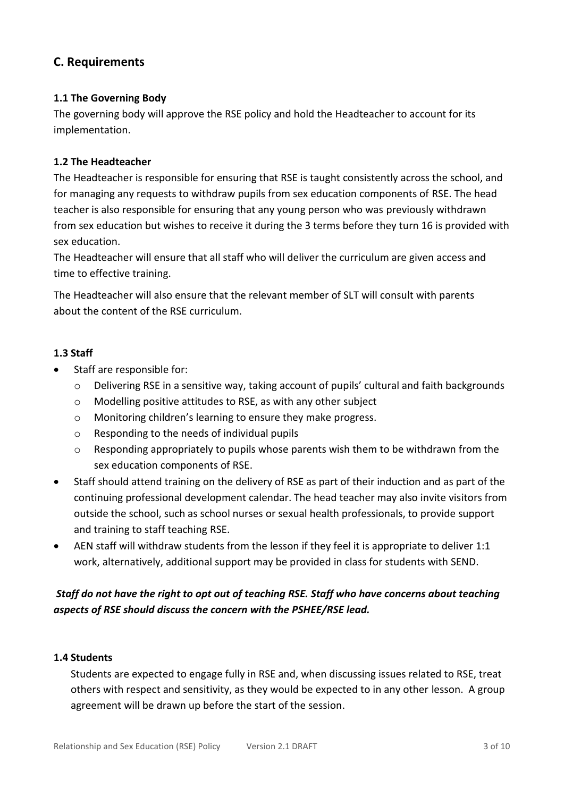# **C. Requirements**

## **1.1 The Governing Body**

The governing body will approve the RSE policy and hold the Headteacher to account for its implementation.

#### **1.2 The Headteacher**

The Headteacher is responsible for ensuring that RSE is taught consistently across the school, and for managing any requests to withdraw pupils from sex education components of RSE. The head teacher is also responsible for ensuring that any young person who was previously withdrawn from sex education but wishes to receive it during the 3 terms before they turn 16 is provided with sex education.

The Headteacher will ensure that all staff who will deliver the curriculum are given access and time to effective training.

The Headteacher will also ensure that the relevant member of SLT will consult with parents about the content of the RSE curriculum.

#### **1.3 Staff**

- Staff are responsible for:
	- $\circ$  Delivering RSE in a sensitive way, taking account of pupils' cultural and faith backgrounds
	- o Modelling positive attitudes to RSE, as with any other subject
	- o Monitoring children's learning to ensure they make progress.
	- o Responding to the needs of individual pupils
	- $\circ$  Responding appropriately to pupils whose parents wish them to be withdrawn from the sex education components of RSE.
- Staff should attend training on the delivery of RSE as part of their induction and as part of the continuing professional development calendar. The head teacher may also invite visitors from outside the school, such as school nurses or sexual health professionals, to provide support and training to staff teaching RSE.
- AEN staff will withdraw students from the lesson if they feel it is appropriate to deliver 1:1 work, alternatively, additional support may be provided in class for students with SEND.

# *Staff do not have the right to opt out of teaching RSE. Staff who have concerns about teaching aspects of RSE should discuss the concern with the PSHEE/RSE lead.*

#### **1.4 Students**

Students are expected to engage fully in RSE and, when discussing issues related to RSE, treat others with respect and sensitivity, as they would be expected to in any other lesson. A group agreement will be drawn up before the start of the session.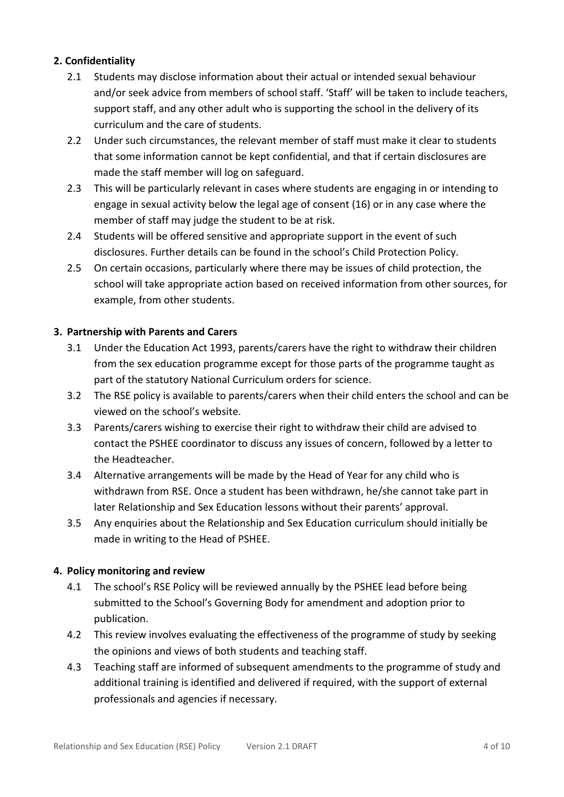# **2. Confidentiality**

- 2.1 Students may disclose information about their actual or intended sexual behaviour and/or seek advice from members of school staff. 'Staff' will be taken to include teachers, support staff, and any other adult who is supporting the school in the delivery of its curriculum and the care of students.
- 2.2 Under such circumstances, the relevant member of staff must make it clear to students that some information cannot be kept confidential, and that if certain disclosures are made the staff member will log on safeguard.
- 2.3 This will be particularly relevant in cases where students are engaging in or intending to engage in sexual activity below the legal age of consent (16) or in any case where the member of staff may judge the student to be at risk.
- 2.4 Students will be offered sensitive and appropriate support in the event of such disclosures. Further details can be found in the school's Child Protection Policy.
- 2.5 On certain occasions, particularly where there may be issues of child protection, the school will take appropriate action based on received information from other sources, for example, from other students.

# **3. Partnership with Parents and Carers**

- 3.1 Under the Education Act 1993, parents/carers have the right to withdraw their children from the sex education programme except for those parts of the programme taught as part of the statutory National Curriculum orders for science.
- 3.2 The RSE policy is available to parents/carers when their child enters the school and can be viewed on the school's website.
- 3.3 Parents/carers wishing to exercise their right to withdraw their child are advised to contact the PSHEE coordinator to discuss any issues of concern, followed by a letter to the Headteacher.
- 3.4 Alternative arrangements will be made by the Head of Year for any child who is withdrawn from RSE. Once a student has been withdrawn, he/she cannot take part in later Relationship and Sex Education lessons without their parents' approval.
- 3.5 Any enquiries about the Relationship and Sex Education curriculum should initially be made in writing to the Head of PSHEE.

# **4. Policy monitoring and review**

- 4.1 The school's RSE Policy will be reviewed annually by the PSHEE lead before being submitted to the School's Governing Body for amendment and adoption prior to publication.
- 4.2 This review involves evaluating the effectiveness of the programme of study by seeking the opinions and views of both students and teaching staff.
- 4.3 Teaching staff are informed of subsequent amendments to the programme of study and additional training is identified and delivered if required, with the support of external professionals and agencies if necessary.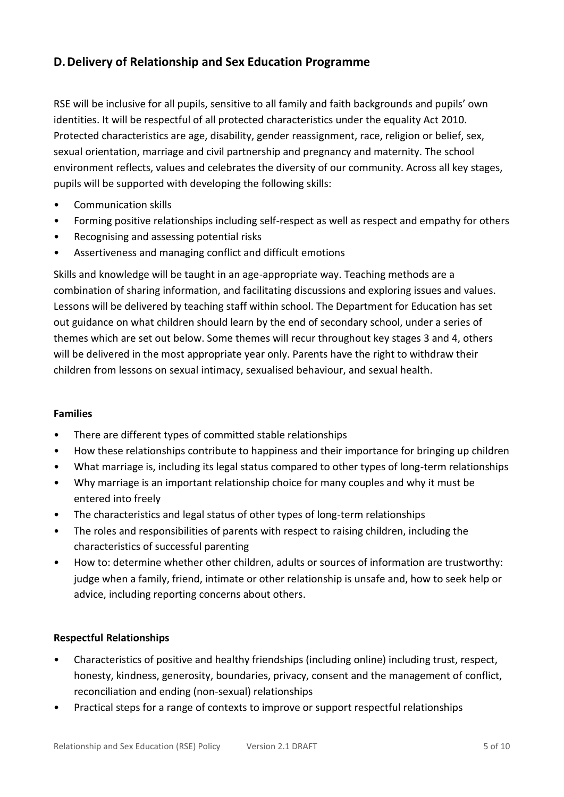# **D.Delivery of Relationship and Sex Education Programme**

RSE will be inclusive for all pupils, sensitive to all family and faith backgrounds and pupils' own identities. It will be respectful of all protected characteristics under the equality Act 2010. Protected characteristics are age, disability, gender reassignment, race, religion or belief, sex, sexual orientation, marriage and civil partnership and pregnancy and maternity. The school environment reflects, values and celebrates the diversity of our community. Across all key stages, pupils will be supported with developing the following skills:

- Communication skills
- Forming positive relationships including self-respect as well as respect and empathy for others
- Recognising and assessing potential risks
- Assertiveness and managing conflict and difficult emotions

Skills and knowledge will be taught in an age-appropriate way. Teaching methods are a combination of sharing information, and facilitating discussions and exploring issues and values. Lessons will be delivered by teaching staff within school. The Department for Education has set out guidance on what children should learn by the end of secondary school, under a series of themes which are set out below. Some themes will recur throughout key stages 3 and 4, others will be delivered in the most appropriate year only. Parents have the right to withdraw their children from lessons on sexual intimacy, sexualised behaviour, and sexual health.

#### **Families**

- There are different types of committed stable relationships
- How these relationships contribute to happiness and their importance for bringing up children
- What marriage is, including its legal status compared to other types of long-term relationships
- Why marriage is an important relationship choice for many couples and why it must be entered into freely
- The characteristics and legal status of other types of long-term relationships
- The roles and responsibilities of parents with respect to raising children, including the characteristics of successful parenting
- How to: determine whether other children, adults or sources of information are trustworthy: judge when a family, friend, intimate or other relationship is unsafe and, how to seek help or advice, including reporting concerns about others.

#### **Respectful Relationships**

- Characteristics of positive and healthy friendships (including online) including trust, respect, honesty, kindness, generosity, boundaries, privacy, consent and the management of conflict, reconciliation and ending (non-sexual) relationships
- Practical steps for a range of contexts to improve or support respectful relationships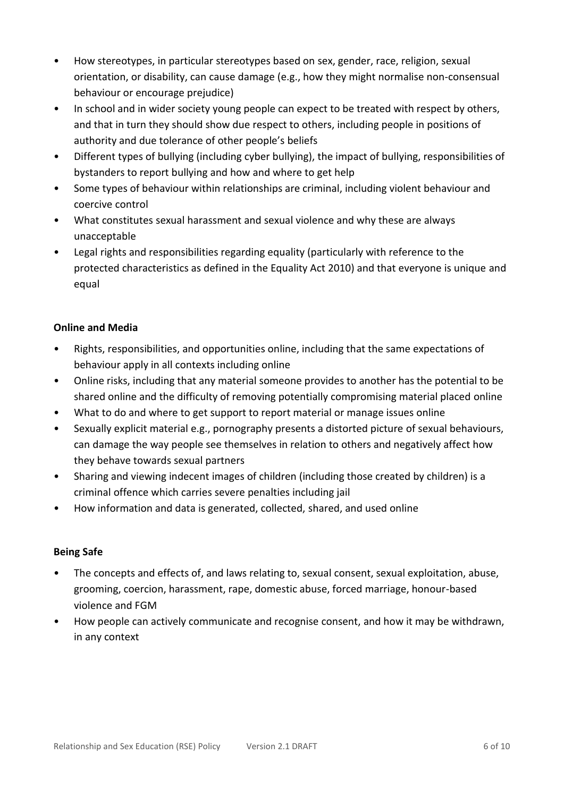- How stereotypes, in particular stereotypes based on sex, gender, race, religion, sexual orientation, or disability, can cause damage (e.g., how they might normalise non-consensual behaviour or encourage prejudice)
- In school and in wider society young people can expect to be treated with respect by others, and that in turn they should show due respect to others, including people in positions of authority and due tolerance of other people's beliefs
- Different types of bullying (including cyber bullying), the impact of bullying, responsibilities of bystanders to report bullying and how and where to get help
- Some types of behaviour within relationships are criminal, including violent behaviour and coercive control
- What constitutes sexual harassment and sexual violence and why these are always unacceptable
- Legal rights and responsibilities regarding equality (particularly with reference to the protected characteristics as defined in the Equality Act 2010) and that everyone is unique and equal

# **Online and Media**

- Rights, responsibilities, and opportunities online, including that the same expectations of behaviour apply in all contexts including online
- Online risks, including that any material someone provides to another has the potential to be shared online and the difficulty of removing potentially compromising material placed online
- What to do and where to get support to report material or manage issues online
- Sexually explicit material e.g., pornography presents a distorted picture of sexual behaviours, can damage the way people see themselves in relation to others and negatively affect how they behave towards sexual partners
- Sharing and viewing indecent images of children (including those created by children) is a criminal offence which carries severe penalties including jail
- How information and data is generated, collected, shared, and used online

# **Being Safe**

- The concepts and effects of, and laws relating to, sexual consent, sexual exploitation, abuse, grooming, coercion, harassment, rape, domestic abuse, forced marriage, honour-based violence and FGM
- How people can actively communicate and recognise consent, and how it may be withdrawn, in any context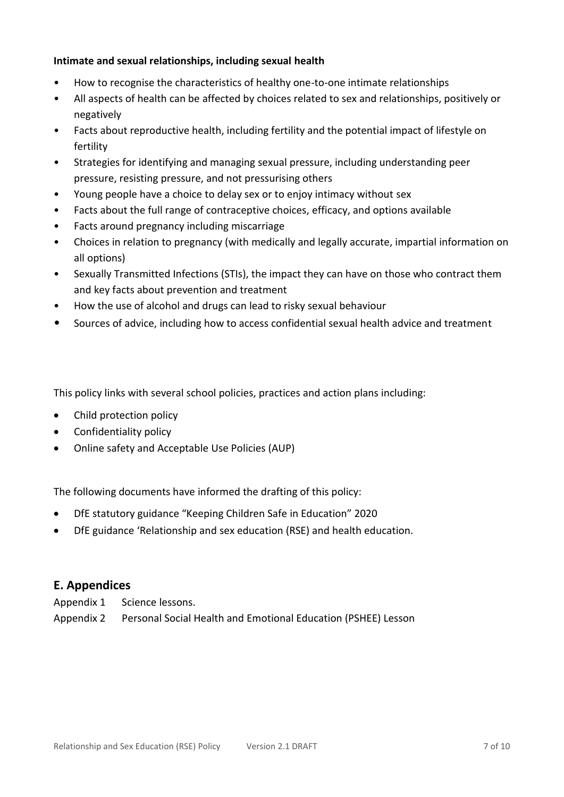#### **Intimate and sexual relationships, including sexual health**

- How to recognise the characteristics of healthy one-to-one intimate relationships
- All aspects of health can be affected by choices related to sex and relationships, positively or negatively
- Facts about reproductive health, including fertility and the potential impact of lifestyle on fertility
- Strategies for identifying and managing sexual pressure, including understanding peer pressure, resisting pressure, and not pressurising others
- Young people have a choice to delay sex or to enjoy intimacy without sex
- Facts about the full range of contraceptive choices, efficacy, and options available
- Facts around pregnancy including miscarriage
- Choices in relation to pregnancy (with medically and legally accurate, impartial information on all options)
- Sexually Transmitted Infections (STIs), the impact they can have on those who contract them and key facts about prevention and treatment
- How the use of alcohol and drugs can lead to risky sexual behaviour
- Sources of advice, including how to access confidential sexual health advice and treatment

This policy links with several school policies, practices and action plans including:

- Child protection policy
- Confidentiality policy
- Online safety and Acceptable Use Policies (AUP)

The following documents have informed the drafting of this policy:

- DfE statutory guidance "Keeping Children Safe in Education" 2020
- DfE guidance 'Relationship and sex education (RSE) and health education.

# **E. Appendices**

Appendix 1 Science lessons.

Appendix 2 Personal Social Health and Emotional Education (PSHEE) Lesson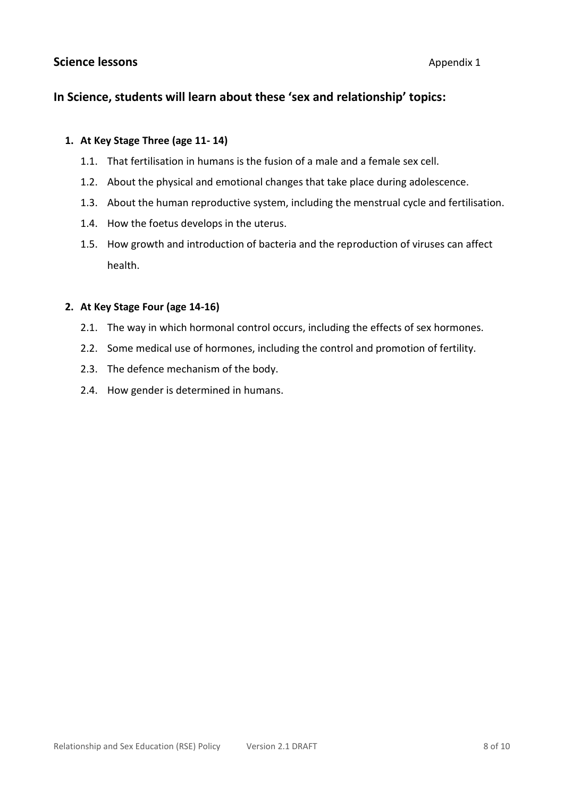# **Science lessons** Appendix 1

# **In Science, students will learn about these 'sex and relationship' topics:**

#### **1. At Key Stage Three (age 11- 14)**

- 1.1. That fertilisation in humans is the fusion of a male and a female sex cell.
- 1.2. About the physical and emotional changes that take place during adolescence.
- 1.3. About the human reproductive system, including the menstrual cycle and fertilisation.
- 1.4. How the foetus develops in the uterus.
- 1.5. How growth and introduction of bacteria and the reproduction of viruses can affect health.

#### **2. At Key Stage Four (age 14-16)**

- 2.1. The way in which hormonal control occurs, including the effects of sex hormones.
- 2.2. Some medical use of hormones, including the control and promotion of fertility.
- 2.3. The defence mechanism of the body.
- 2.4. How gender is determined in humans.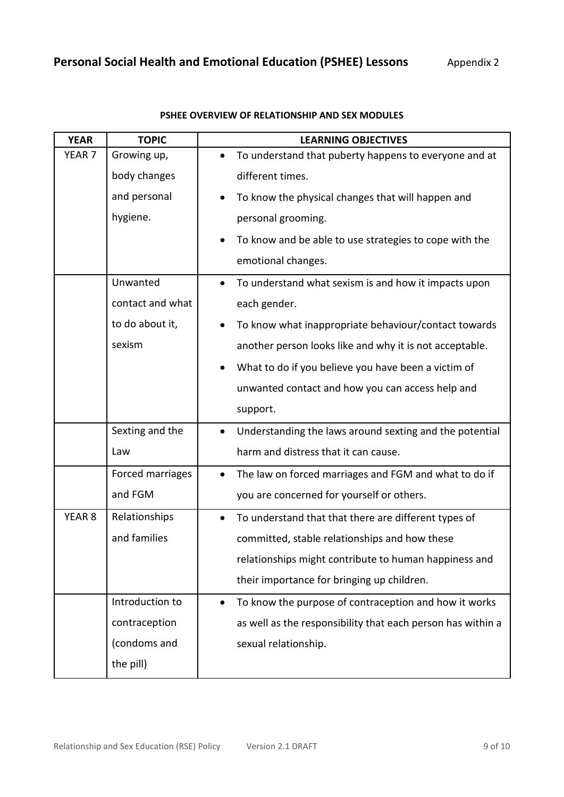| <b>YEAR</b>       | <b>TOPIC</b>     | <b>LEARNING OBJECTIVES</b>                                         |
|-------------------|------------------|--------------------------------------------------------------------|
| YEAR <sub>7</sub> | Growing up,      | To understand that puberty happens to everyone and at<br>$\bullet$ |
|                   | body changes     | different times.                                                   |
|                   | and personal     | To know the physical changes that will happen and                  |
|                   | hygiene.         | personal grooming.                                                 |
|                   |                  | To know and be able to use strategies to cope with the             |
|                   |                  | emotional changes.                                                 |
|                   | Unwanted         | To understand what sexism is and how it impacts upon<br>$\bullet$  |
|                   | contact and what | each gender.                                                       |
|                   | to do about it,  | To know what inappropriate behaviour/contact towards               |
|                   | sexism           | another person looks like and why it is not acceptable.            |
|                   |                  | What to do if you believe you have been a victim of                |
|                   |                  | unwanted contact and how you can access help and                   |
|                   |                  | support.                                                           |
|                   | Sexting and the  | Understanding the laws around sexting and the potential            |
|                   | Law              | harm and distress that it can cause.                               |
|                   | Forced marriages | The law on forced marriages and FGM and what to do if<br>$\bullet$ |
|                   | and FGM          | you are concerned for yourself or others.                          |
| YEAR <sub>8</sub> | Relationships    | To understand that that there are different types of<br>$\bullet$  |
|                   | and families     | committed, stable relationships and how these                      |
|                   |                  | relationships might contribute to human happiness and              |
|                   |                  | their importance for bringing up children.                         |
|                   | Introduction to  | To know the purpose of contraception and how it works<br>$\bullet$ |
|                   | contraception    | as well as the responsibility that each person has within a        |
|                   | (condoms and     | sexual relationship.                                               |
|                   | the pill)        |                                                                    |

#### **PSHEE OVERVIEW OF RELATIONSHIP AND SEX MODULES**